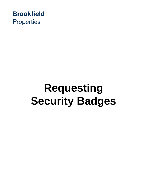

# **Requesting Security Badges**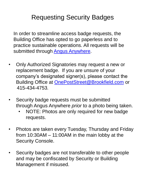## Requesting Security Badges

In order to streamline access badge requests, the Building Office has opted to go paperless and to practice sustainable operations. All requests will be submitted through **Angus Anywhere**.

- Only Authorized Signatories may request a new or replacement badge. If you are unsure of your company's designated signer(s), please contact the Building Office at [OnePostStreet@Brookfield.com](mailto:OnePostStreet@Brookfield.com) or 415-434-4753.
- Security badge requests must be submitted through Angus Anywhere *prior* to a photo being taken.
	- NOTE: Photos are only required for new badge requests.
- Photos are taken every Tuesday, Thursday and Friday from 10:30AM – 11:00AM in the main lobby at the Security Console.
- Security badges are not transferable to other people and may be confiscated by Security or Building Management if misused.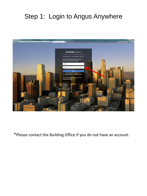# Step 1: Login to Angus Anywhere



\*Please contact the Building Office if you do not have an account.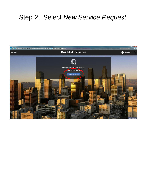### Step 2: Select *New Service Request*

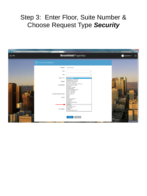#### Step 3: Enter Floor, Suite Number & Choose Request Type *Security*

| $\leftarrow$        | https://www.ngl.angusanywhere.com/Tenant/Trizec/Brookfield/TR/RequestEntry.as $D = \oplus C$ D New Service Request<br>$-36$ |                                                                                                                                                                              | $-100 - 1$<br>↑ ★ ☆<br>In the contribution of deather states. If interest he<br>_                                                   |
|---------------------|-----------------------------------------------------------------------------------------------------------------------------|------------------------------------------------------------------------------------------------------------------------------------------------------------------------------|-------------------------------------------------------------------------------------------------------------------------------------|
| $\equiv$ MENU       |                                                                                                                             | <b>Brookfield</b> Properties                                                                                                                                                 | $\odot$<br>JP Jessica Perez V                                                                                                       |
|                     | 窅<br>NEW SERVICE REQUEST                                                                                                    |                                                                                                                                                                              |                                                                                                                                     |
|                     | PROPERTY                                                                                                                    | One Post Street                                                                                                                                                              |                                                                                                                                     |
|                     | <b>FLOOR</b>                                                                                                                | $\checkmark$                                                                                                                                                                 |                                                                                                                                     |
|                     | <b>SUITE</b>                                                                                                                |                                                                                                                                                                              |                                                                                                                                     |
|                     | <b>REQUEST TYPE</b>                                                                                                         | ase Choose<br>Auditorium / Conferences                                                                                                                                       |                                                                                                                                     |
|                     | PRIORITY                                                                                                                    | Building Mgmt. Use Only.<br>Chilled/Condenser Water<br>Cleaning / Janitorial                                                                                                 |                                                                                                                                     |
|                     | <b>DATE REQUIRED</b>                                                                                                        | Construction Management Services<br>Directory Strips / Signs<br>Electricity                                                                                                  |                                                                                                                                     |
|                     | <b>CUSTOMER REFERENCE NUMBER</b>                                                                                            | Elevator / Escalator<br>Freight Elevator<br>General Contracting Work<br>HVAC - After Hours<br>HVAC - Cold Calls<br><b>HVAC - Hot Calls</b><br>Keys & Locks<br>Lights<br>Move |                                                                                                                                     |
|                     | <b>DETAILS</b>                                                                                                              | Odor<br>Parking Validations<br>Pest Control<br>Plumbing<br>Repairs & Maintenance<br>Restroom<br>Security                                                                     |                                                                                                                                     |
|                     |                                                                                                                             | Shutdowns<br>Sub-Metered Electric<br>Unspecified                                                                                                                             | 82 85 85 87 1<br><b><i><u><b>PE SE BR BR</b></u></i></b><br><b>EX 23 33 91</b><br>i se se so                                        |
|                     | <b>ATTACHMENTS</b>                                                                                                          | Utilities<br>Vendor Building Access                                                                                                                                          | <b>FRE 181</b>                                                                                                                      |
| <b>BRANNHANNHAN</b> |                                                                                                                             | <b>SUBMIT</b><br><b>RETURN</b>                                                                                                                                               | <b>CUR 888</b><br>38 885<br><b>SHIFF</b><br><b>THEFT</b><br>on m<br>1,412,482<br><b>DER ET</b><br><b>B 232 13</b><br><b>SERVICE</b> |
|                     | the same of the state and the same of the same of the same of the same of the same of the same of the same of               |                                                                                                                                                                              | <b>SITE FEEDBACK</b>                                                                                                                |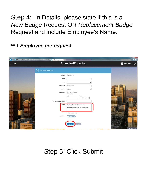Step 4: In Details, please state if this is a *New Badge* Request OR *Replacement Badge*  Request and include Employee's Name.

*\*\* 1 Employee per request*

| $\left( \left. \leftarrow \right. \right)$<br>$\equiv$ MENU | https://www.ngl.angusanywhere.com/Tenant/Trizec/Brookfield/TR/RequestEntry.as. $\mathcal{D} = \mathbf{B} \circ \mathbf{C}$ New Service Request | <b>Constitution Constitution Constitution</b><br><b>Brookfield</b> Properties | $-6$ X<br>$A \star B$<br>Monthly Homes of Montana Co.<br><b>STATISTICS</b><br>$\odot$<br>JP Jessica Perez V |
|-------------------------------------------------------------|------------------------------------------------------------------------------------------------------------------------------------------------|-------------------------------------------------------------------------------|-------------------------------------------------------------------------------------------------------------|
|                                                             | 窅<br>NEW SERVICE REQUEST                                                                                                                       |                                                                               |                                                                                                             |
|                                                             | PROPERTY                                                                                                                                       | One Post Street                                                               |                                                                                                             |
|                                                             | <b>FLOOR</b>                                                                                                                                   | $\checkmark$                                                                  |                                                                                                             |
|                                                             | <b>SUITE</b>                                                                                                                                   | $\check{ }$                                                                   |                                                                                                             |
|                                                             | REQUEST TYPE                                                                                                                                   | Please Choose<br>$\checkmark$                                                 |                                                                                                             |
|                                                             | PRIORITY                                                                                                                                       | Normal<br>$\checkmark$                                                        |                                                                                                             |
|                                                             | <b>DATE REQUIRED</b>                                                                                                                           | As Soon As Possible                                                           |                                                                                                             |
|                                                             |                                                                                                                                                | O Date/Time<br>DATE<br>TIME                                                   |                                                                                                             |
|                                                             |                                                                                                                                                | $\check{ }$<br>$\checkmark$<br>$\ddot{\phantom{0}}$                           |                                                                                                             |
|                                                             | <b>CUSTOMER REFERENCE NUMBER</b>                                                                                                               |                                                                               |                                                                                                             |
|                                                             | DETAILS                                                                                                                                        | New Badge Request for Employee Name                                           |                                                                                                             |
|                                                             |                                                                                                                                                | Replacement Badge Request for Employee Name                                   |                                                                                                             |
|                                                             |                                                                                                                                                |                                                                               |                                                                                                             |
|                                                             | <b>ATTACHMENTS</b>                                                                                                                             | Estimate Required?                                                            | ,,,,                                                                                                        |
|                                                             |                                                                                                                                                | $+$ Attachments                                                               | <b>BE NUL</b><br>38 BBC                                                                                     |
|                                                             |                                                                                                                                                |                                                                               | <b>P. 11</b><br>111 111<br>313.000                                                                          |
| <b><i><u>ARARUANNANNA</u></i></b>                           |                                                                                                                                                | <b>RETURN</b><br><b>SUBMIT</b>                                                | 332 333<br><b>ASK STR</b><br>110 mm<br><b>THEFT</b>                                                         |
|                                                             |                                                                                                                                                |                                                                               | <b>SITE FEEDBACK</b>                                                                                        |

#### Step 5: Click Submit